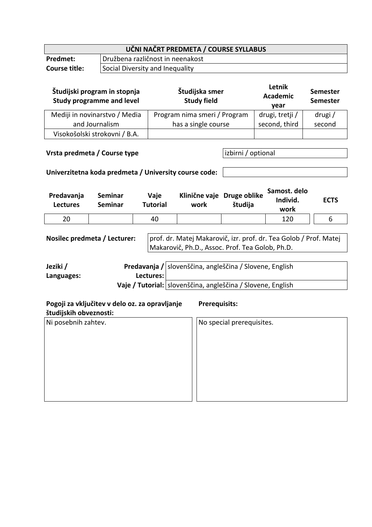| UČNI NAČRT PREDMETA / COURSE SYLLABUS            |                                  |  |  |  |
|--------------------------------------------------|----------------------------------|--|--|--|
| Predmet:                                         | Družbena različnost in neenakost |  |  |  |
| Social Diversity and Inequality<br>Course title: |                                  |  |  |  |

| Študijski program in stopnja<br><b>Study programme and level</b>                                                                                                                                                                                                                                                         |                                                                     |  |                              | Študijska smer<br><b>Study field</b> |                                                                           |                           | Letnik<br><b>Academic</b><br>year |               | <b>Semester</b><br><b>Semester</b> |        |
|--------------------------------------------------------------------------------------------------------------------------------------------------------------------------------------------------------------------------------------------------------------------------------------------------------------------------|---------------------------------------------------------------------|--|------------------------------|--------------------------------------|---------------------------------------------------------------------------|---------------------------|-----------------------------------|---------------|------------------------------------|--------|
| Mediji in novinarstvo / Media                                                                                                                                                                                                                                                                                            |                                                                     |  | Program nima smeri / Program |                                      |                                                                           |                           | drugi, tretji /                   |               |                                    | drugi/ |
| and Journalism                                                                                                                                                                                                                                                                                                           |                                                                     |  |                              | has a single course                  |                                                                           |                           |                                   | second, third |                                    | second |
|                                                                                                                                                                                                                                                                                                                          | Visokošolski strokovni / B.A.                                       |  |                              |                                      |                                                                           |                           |                                   |               |                                    |        |
| Vrsta predmeta / Course type<br>Univerzitetna koda predmeta / University course code:                                                                                                                                                                                                                                    |                                                                     |  |                              |                                      |                                                                           | izbirni / optional        |                                   |               |                                    |        |
| Predavanja<br><b>Lectures</b>                                                                                                                                                                                                                                                                                            | <b>Seminar</b><br>Vaje<br><b>Seminar</b><br><b>Tutorial</b><br>work |  |                              |                                      | Samost. delo<br>Klinične vaje Druge oblike<br>Individ.<br>študija<br>work |                           |                                   | <b>ECTS</b>   |                                    |        |
| 20                                                                                                                                                                                                                                                                                                                       |                                                                     |  | 40                           |                                      |                                                                           |                           |                                   | 120           |                                    | 6      |
| prof. dr. Matej Makarovič, izr. prof. dr. Tea Golob / Prof. Matej<br>Nosilec predmeta / Lecturer:<br>Makarovič, Ph.D., Assoc. Prof. Tea Golob, Ph.D.<br>Jeziki /<br>Predavanja /<br>slovenščina, angleščina / Slovene, English<br>Lectures:<br>Languages:<br>Vaje / Tutorial: slovenščina, angleščina / Slovene, English |                                                                     |  |                              |                                      |                                                                           |                           |                                   |               |                                    |        |
| Pogoji za vključitev v delo oz. za opravljanje<br><b>Prerequisits:</b><br>študijskih obveznosti:                                                                                                                                                                                                                         |                                                                     |  |                              |                                      |                                                                           |                           |                                   |               |                                    |        |
| Ni posebnih zahtev.                                                                                                                                                                                                                                                                                                      |                                                                     |  |                              |                                      |                                                                           | No special prerequisites. |                                   |               |                                    |        |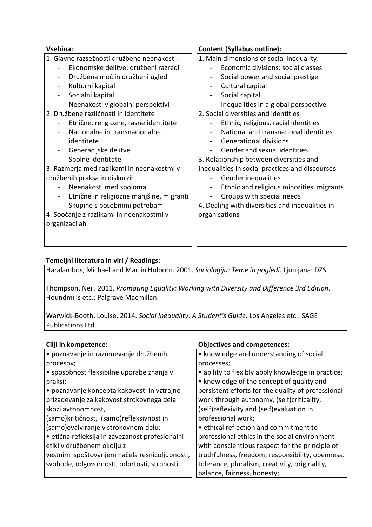| Vsebina:                                                   | <b>Content (Syllabus outline):</b>              |  |  |  |  |
|------------------------------------------------------------|-------------------------------------------------|--|--|--|--|
| 1. Glavne razsežnosti družbene neenakosti:                 | 1. Main dimensions of social inequality:        |  |  |  |  |
| Ekonomske delitve: družbeni razredi                        | Economic divisions: social classes              |  |  |  |  |
| Družbena moč in družbeni ugled<br>$\overline{\phantom{a}}$ | Social power and social prestige                |  |  |  |  |
| Kulturni kapital                                           | Cultural capital                                |  |  |  |  |
| Socialni kapital<br>$\overline{a}$                         | Social capital                                  |  |  |  |  |
| Neenakosti v globalni perspektivi                          | Inequalities in a global perspective            |  |  |  |  |
| 2. Družbene različnosti in identitete                      | 2. Social diversities and identities            |  |  |  |  |
| Etnične, religiozne, rasne identitete                      | Ethnic, religious, racial identities            |  |  |  |  |
| Nacionalne in transnacionalne                              | National and transnational identities           |  |  |  |  |
| identitete                                                 | <b>Generational divisions</b>                   |  |  |  |  |
| Generacijske delitve                                       | Gender and sexual identities                    |  |  |  |  |
| Spolne identitete                                          | 3. Relationship between diversities and         |  |  |  |  |
| 3. Razmerja med razlikami in neenakostmi v                 | inequalities in social practices and discourses |  |  |  |  |
| družbenih praksa in diskurzih                              | Gender inequalities                             |  |  |  |  |
| Neenakosti med spoloma                                     | Ethnic and religious minorities, migrants       |  |  |  |  |
| Etnične in religiozne manjšine, migranti                   | Groups with special needs                       |  |  |  |  |
| Skupine s posebnimi potrebami                              | 4. Dealing with diversities and inequalities in |  |  |  |  |
| 4. Soočanje z razlikami in neenakostmi v                   | organisations                                   |  |  |  |  |
| organizacijah                                              |                                                 |  |  |  |  |
|                                                            |                                                 |  |  |  |  |
|                                                            |                                                 |  |  |  |  |

## **Temeljni literatura in viri / Readings:**

Haralambos, Michael and Martin Holborn. 2001. *Sociologija: Teme in pogledi*. Ljubljana: DZS.

Thompson, Neil. 2011. *Promoting Equality: Working with Diversity and Difference 3rd Edition*. Houndmills etc.: Palgrave Macmillan.

Warwick-Booth, Louise. 2014. *Social Inequality: A Studentʹs Guide*. Los Angeles etc.: SAGE Publications Ltd.

| Cilji in kompetence:                            | <b>Objectives and competences:</b>                 |  |  |  |  |
|-------------------------------------------------|----------------------------------------------------|--|--|--|--|
| · poznavanje in razumevanje družbenih           | • knowledge and understanding of social            |  |  |  |  |
| procesov;                                       | processes;                                         |  |  |  |  |
| • sposobnost fleksibilne uporabe znanja v       | • ability to flexibly apply knowledge in practice; |  |  |  |  |
| praksi;                                         | • knowledge of the concept of quality and          |  |  |  |  |
| • poznavanje koncepta kakovosti in vztrajno     | persistent efforts for the quality of professional |  |  |  |  |
| prizadevanje za kakovost strokovnega dela       | work through autonomy, (self)criticality,          |  |  |  |  |
| skozi avtonomnost,                              | (self)reflexivity and (self)evaluation in          |  |  |  |  |
| (samo)kritičnost, (samo)refleksivnost in        | professional work;                                 |  |  |  |  |
| (samo)evalviranje v strokovnem delu;            | • ethical reflection and commitment to             |  |  |  |  |
| · etična refleksija in zavezanost profesionalni | professional ethics in the social environment      |  |  |  |  |
| etiki v družbenem okolju z                      | with conscientious respect for the principle of    |  |  |  |  |
| vestnim spoštovanjem načela resnicoljubnosti,   | truthfulness, freedom; responsibility, openness,   |  |  |  |  |
| svobode, odgovornosti, odprtosti, strpnosti,    | tolerance, pluralism, creativity, originality,     |  |  |  |  |
|                                                 | balance, fairness, honesty;                        |  |  |  |  |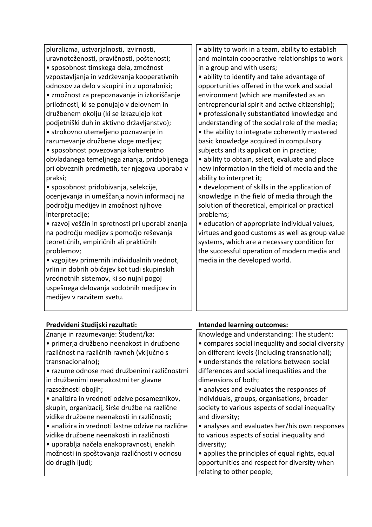| pluralizma, ustvarjalnosti, izvirnosti,          | · ability to work in a team, ability to establish |
|--------------------------------------------------|---------------------------------------------------|
| uravnoteženosti, pravičnosti, poštenosti;        | and maintain cooperative relationships to work    |
| • sposobnost timskega dela, zmožnost             | in a group and with users;                        |
| vzpostavljanja in vzdrževanja kooperativnih      | · ability to identify and take advantage of       |
| odnosov za delo v skupini in z uporabniki;       | opportunities offered in the work and social      |
| • zmožnost za prepoznavanje in izkoriščanje      | environment (which are manifested as an           |
| priložnosti, ki se ponujajo v delovnem in        | entrepreneurial spirit and active citizenship);   |
| družbenem okolju (ki se izkazujejo kot           | • professionally substantiated knowledge and      |
| podjetniški duh in aktivno državljanstvo);       | understanding of the social role of the media;    |
| • strokovno utemeljeno poznavanje in             | • the ability to integrate coherently mastered    |
| razumevanje družbene vloge medijev;              | basic knowledge acquired in compulsory            |
| • sposobnost povezovanja koherentno              | subjects and its application in practice;         |
| obvladanega temeljnega znanja, pridobljenega     | • ability to obtain, select, evaluate and place   |
| pri obveznih predmetih, ter njegova uporaba v    | new information in the field of media and the     |
| praksi;                                          | ability to interpret it;                          |
| • sposobnost pridobivanja, selekcije,            | • development of skills in the application of     |
| ocenjevanja in umeščanja novih informacij na     | knowledge in the field of media through the       |
| področju medijev in zmožnost njihove             | solution of theoretical, empirical or practical   |
| interpretacije;                                  | problems;                                         |
| • razvoj veščin in spretnosti pri uporabi znanja | • education of appropriate individual values,     |
| na področju medijev s pomočjo reševanja          | virtues and good customs as well as group value   |
| teoretičnih, empiričnih ali praktičnih           | systems, which are a necessary condition for      |
| problemov;                                       | the successful operation of modern media and      |
| · vzgojitev primernih individualnih vrednot,     | media in the developed world.                     |
| vrlin in dobrih običajev kot tudi skupinskih     |                                                   |
| vrednotnih sistemov, ki so nujni pogoj           |                                                   |
| uspešnega delovanja sodobnih medijcev in         |                                                   |
| medijev v razvitem svetu.                        |                                                   |
|                                                  |                                                   |

| Predvideni študijski rezultati:                   | <b>Intended learning outcomes:</b>                |  |  |  |  |
|---------------------------------------------------|---------------------------------------------------|--|--|--|--|
| Znanje in razumevanje: Študent/ka:                | Knowledge and understanding: The student:         |  |  |  |  |
| • primerja družbeno neenakost in družbeno         | • compares social inequality and social diversity |  |  |  |  |
| različnost na različnih ravneh (vključno s        | on different levels (including transnational);    |  |  |  |  |
| transnacionalno);                                 | • understands the relations between social        |  |  |  |  |
| · razume odnose med družbenimi različnostmi       | differences and social inequalities and the       |  |  |  |  |
| in družbenimi neenakostmi ter glavne              | dimensions of both;                               |  |  |  |  |
| razsežnosti obojih;                               | • analyses and evaluates the responses of         |  |  |  |  |
| · analizira in vrednoti odzive posameznikov,      | individuals, groups, organisations, broader       |  |  |  |  |
| skupin, organizacij, širše družbe na različne     | society to various aspects of social inequality   |  |  |  |  |
| vidike družbene neenakosti in različnosti;        | and diversity;                                    |  |  |  |  |
| · analizira in vrednoti lastne odzive na različne | • analyses and evaluates her/his own responses    |  |  |  |  |
| vidike družbene neenakosti in različnosti         | to various aspects of social inequality and       |  |  |  |  |
| · uporablja načela enakopravnosti, enakih         | diversity;                                        |  |  |  |  |
| možnosti in spoštovanja različnosti v odnosu      | • applies the principles of equal rights, equal   |  |  |  |  |
| do drugih ljudi;                                  | opportunities and respect for diversity when      |  |  |  |  |
|                                                   | relating to other people;                         |  |  |  |  |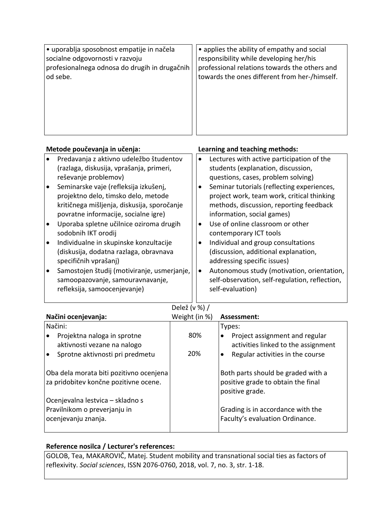| • uporablja sposobnost empatije in načela     | • applies the ability of empathy and social   |
|-----------------------------------------------|-----------------------------------------------|
| socialne odgovornosti v razvoju               | responsibility while developing her/his       |
| profesionalnega odnosa do drugih in drugačnih | professional relations towards the others and |
| od sebe.                                      | towards the ones different from her-/himself. |

| Metode poučevanja in učenja: |                                             |           | Learning and teaching methods:                 |  |  |  |
|------------------------------|---------------------------------------------|-----------|------------------------------------------------|--|--|--|
|                              | Predavanja z aktivno udeležbo študentov     |           | Lectures with active participation of the      |  |  |  |
|                              | (razlaga, diskusija, vprašanja, primeri,    |           | students (explanation, discussion,             |  |  |  |
|                              | reševanje problemov)                        |           | questions, cases, problem solving)             |  |  |  |
| $\bullet$                    | Seminarske vaje (refleksija izkušenj,       |           | Seminar tutorials (reflecting experiences,     |  |  |  |
|                              | projektno delo, timsko delo, metode         |           | project work, team work, critical thinking     |  |  |  |
|                              | kritičnega mišljenja, diskusija, sporočanje |           | methods, discussion, reporting feedback        |  |  |  |
|                              | povratne informacije, socialne igre)        |           | information, social games)                     |  |  |  |
| $\bullet$                    | Uporaba spletne učilnice oziroma drugih     | ٠         | Use of online classroom or other               |  |  |  |
|                              | sodobnih IKT orodij                         |           | contemporary ICT tools                         |  |  |  |
| l o                          | Individualne in skupinske konzultacije      |           | Individual and group consultations             |  |  |  |
|                              | (diskusija, dodatna razlaga, obravnava      |           | (discussion, additional explanation,           |  |  |  |
|                              | specifičnih vprašanj)                       |           | addressing specific issues)                    |  |  |  |
|                              | Samostojen študij (motiviranje, usmerjanje, | $\bullet$ | Autonomous study (motivation, orientation,     |  |  |  |
|                              | samoopazovanje, samouravnavanje,            |           | self-observation, self-regulation, reflection, |  |  |  |
|                              | refleksija, samoocenjevanje)                |           | self-evaluation)                               |  |  |  |
|                              |                                             |           |                                                |  |  |  |

Delež (v %) /

| Načini ocenjevanja:                                        | Weight (in %) | Assessment:                                                                |
|------------------------------------------------------------|---------------|----------------------------------------------------------------------------|
| Načini:                                                    |               | Types:                                                                     |
| Projektna naloga in sprotne<br>aktivnosti vezane na nalogo | 80%           | Project assignment and regular<br>٠<br>activities linked to the assignment |
| Sprotne aktivnosti pri predmetu                            | 20%           | Regular activities in the course<br>$\bullet$                              |
| Oba dela morata biti pozitivno ocenjena                    |               | Both parts should be graded with a                                         |
| za pridobitev končne pozitivne ocene.                      |               | positive grade to obtain the final<br>positive grade.                      |
| Ocenjevalna lestvica – skladno s                           |               |                                                                            |
| Pravilnikom o preverjanju in                               |               | Grading is in accordance with the                                          |
| ocenjevanju znanja.                                        |               | Faculty's evaluation Ordinance.                                            |

## **Reference nosilca / Lecturer's references:**

GOLOB, Tea, MAKAROVIČ, Matej. Student mobility and transnational social ties as factors of reflexivity. *Social sciences*, ISSN 2076-0760, 2018, vol. 7, no. 3, str. 1-18.